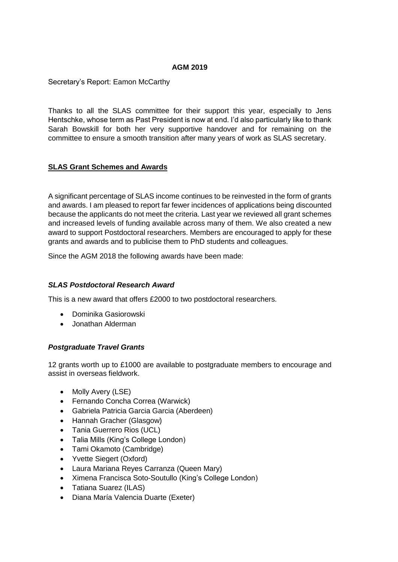### **AGM 2019**

Secretary's Report: Eamon McCarthy

Thanks to all the SLAS committee for their support this year, especially to Jens Hentschke, whose term as Past President is now at end. I'd also particularly like to thank Sarah Bowskill for both her very supportive handover and for remaining on the committee to ensure a smooth transition after many years of work as SLAS secretary.

# **SLAS Grant Schemes and Awards**

A significant percentage of SLAS income continues to be reinvested in the form of grants and awards. I am pleased to report far fewer incidences of applications being discounted because the applicants do not meet the criteria. Last year we reviewed all grant schemes and increased levels of funding available across many of them. We also created a new award to support Postdoctoral researchers. Members are encouraged to apply for these grants and awards and to publicise them to PhD students and colleagues.

Since the AGM 2018 the following awards have been made:

### *SLAS Postdoctoral Research Award*

This is a new award that offers £2000 to two postdoctoral researchers.

- Dominika Gasiorowski
- Jonathan Alderman

### *Postgraduate Travel Grants*

12 grants worth up to £1000 are available to postgraduate members to encourage and assist in overseas fieldwork.

- Molly Avery (LSE)
- Fernando Concha Correa (Warwick)
- Gabriela Patricia Garcia Garcia (Aberdeen)
- Hannah Gracher (Glasgow)
- Tania Guerrero Rios (UCL)
- Talia Mills (King's College London)
- Tami Okamoto (Cambridge)
- Yvette Siegert (Oxford)
- Laura Mariana Reyes Carranza (Queen Mary)
- Ximena Francisca Soto-Soutullo (King's College London)
- Tatiana Suarez (ILAS)
- Diana María Valencia Duarte (Exeter)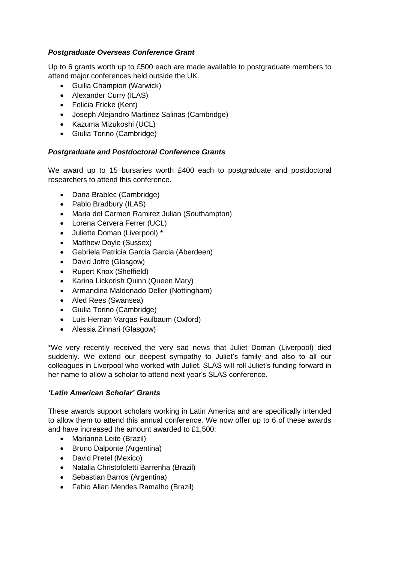# *Postgraduate Overseas Conference Grant*

Up to 6 grants worth up to £500 each are made available to postgraduate members to attend major conferences held outside the UK.

- Guilia Champion (Warwick)
- Alexander Curry (ILAS)
- Felicia Fricke (Kent)
- Joseph Alejandro Martinez Salinas (Cambridge)
- Kazuma Mizukoshi (UCL)
- Giulia Torino (Cambridge)

### *Postgraduate and Postdoctoral Conference Grants*

We award up to 15 bursaries worth £400 each to postgraduate and postdoctoral researchers to attend this conference.

- Dana Brablec (Cambridge)
- Pablo Bradbury (ILAS)
- Maria del Carmen Ramirez Julian (Southampton)
- Lorena Cervera Ferrer (UCL)
- Juliette Doman (Liverpool) \*
- Matthew Doyle (Sussex)
- Gabriela Patricia Garcia Garcia (Aberdeen)
- David Jofre (Glasgow)
- Rupert Knox (Sheffield)
- Karina Lickorish Quinn (Queen Mary)
- Armandina Maldonado Deller (Nottingham)
- Aled Rees (Swansea)
- Giulia Torino (Cambridge)
- Luis Hernan Vargas Faulbaum (Oxford)
- Alessia Zinnari (Glasgow)

\*We very recently received the very sad news that Juliet Doman (Liverpool) died suddenly. We extend our deepest sympathy to Juliet's family and also to all our colleagues in Liverpool who worked with Juliet. SLAS will roll Juliet's funding forward in her name to allow a scholar to attend next year's SLAS conference.

# *'Latin American Scholar' Grants*

These awards support scholars working in Latin America and are specifically intended to allow them to attend this annual conference. We now offer up to 6 of these awards and have increased the amount awarded to £1,500:

- Marianna Leite (Brazil)
- Bruno Dalponte (Argentina)
- David Pretel (Mexico)
- Natalia Christofoletti Barrenha (Brazil)
- Sebastian Barros (Argentina)
- Fabio Allan Mendes Ramalho (Brazil)